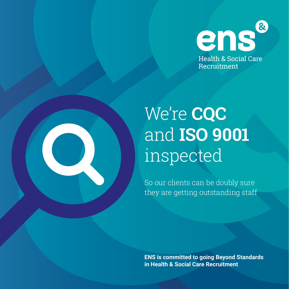

# We're **CQC** and **ISO 9001** inspected

So our clients can be doubly sure they are getting outstanding staff

**ENS is committed to going Beyond Standards in Health & Social Care Recruitment**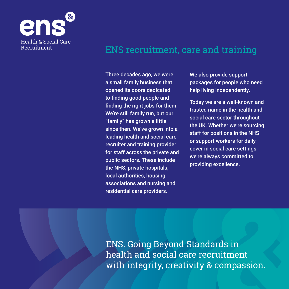

#### ENS recruitment, care and training

Three decades ago, we were a small family business that opened its doors dedicated to finding good people and finding the right jobs for them. We're still family run, but our "family" has grown a little since then. We've grown into a leading health and social care recruiter and training provider for staff across the private and public sectors. These include the NHS, private hospitals, local authorities, housing associations and nursing and residential care providers.

We also provide support packages for people who need help living independently.

Today we are a well-known and trusted name in the health and social care sector throughout the UK. Whether we're sourcing staff for positions in the NHS or support workers for daily cover in social care settings we're always committed to providing excellence.

ENS. Going Beyond Standards in health and social care recruitment with integrity, creativity & compassion.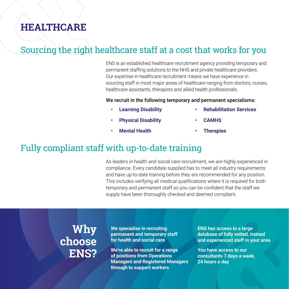# **HEALTHCARE**

### Sourcing the right healthcare staff at a cost that works for you

ENS is an established healthcare recruitment agency providing temporary and permanent staffing solutions to the NHS and private healthcare providers. Our expertise in healthcare recruitment means we have experience in sourcing staff in most major areas of healthcare ranging from doctors, nurses, healthcare assistants, therapists and allied health professionals.

#### We recruit in the following temporary and permanent specialisms:

**• Learning Disability**

**• Rehabilitation Services**

**• Physical Disability**

**• CAMHS**

**• Mental Health**

**• Therapies**

#### Fully compliant staff with up-to-date training

As leaders in health and social care recruitment, we are highly experienced in compliance. Every candidate supplied has to meet all industry requirements and have up-to-date training before they are recommended for any position. This includes verifying all medical qualifications where it is required for both temporary and permanent staff so you can be confident that the staff we supply have been thoroughly checked and deemed compliant.

**Why choose ENS?**

**We specialise in recruiting permanent and temporary staff for health and social care**

**We're able to recruit for a range of positions from Operations Managers and Registered Managers through to support workers** 

**ENS has access to a large database of fully vetted, trained and experienced staff in your area**

**You have access to our consultants 7 days a week, 24 hours a day**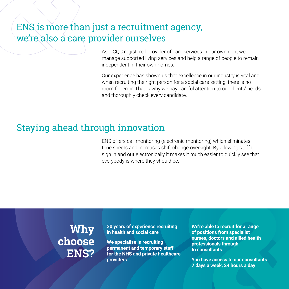#### ENS is more than just a recruitment agency, we're also a care provider ourselves

As a CQC registered provider of care services in our own right we manage supported living services and help a range of people to remain independent in their own homes.

Our experience has shown us that excellence in our industry is vital and when recruiting the right person for a social care setting, there is no room for error. That is why we pay careful attention to our clients' needs and thoroughly check every candidate.

#### Staying ahead through innovation

ENS offers call monitoring (electronic monitoring) which eliminates time sheets and increases shift change oversight. By allowing staff to sign in and out electronically it makes it much easier to quickly see that everybody is where they should be.

**Why choose ENS?**

**30 years of experience recruiting in health and social care**

**We specialise in recruiting permanent and temporary staff for the NHS and private healthcare providers**

**We're able to recruit for a range of positions from specialist nurses, doctors and allied health professionals through to consultants**

**You have access to our consultants 7 days a week, 24 hours a day**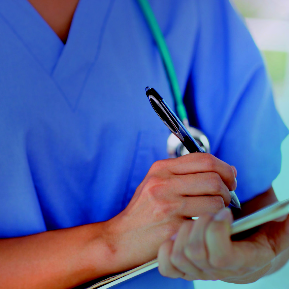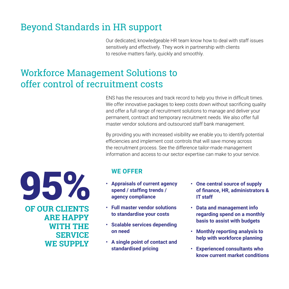# Beyond Standards in HR support

Our dedicated, knowledgeable HR team know how to deal with staff issues sensitively and effectively. They work in partnership with clients to resolve matters fairly, quickly and smoothly.

### Workforce Management Solutions to offer control of recruitment costs

ENS has the resources and track record to help you thrive in difficult times. We offer innovative packages to keep costs down without sacrificing quality and offer a full range of recruitment solutions to manage and deliver your permanent, contract and temporary recruitment needs. We also offer full master vendor solutions and outsourced staff bank management.

By providing you with increased visibility we enable you to identify potential efficiencies and implement cost controls that will save money across the recruitment process. See the difference tailor-made management information and access to our sector expertise can make to your service.



#### **WE OFFER**

- **• Appraisals of current agency spend / staffing trends / agency compliance**
- **• Full master vendor solutions to standardise your costs**
- **• Scalable services depending on need**
- **• A single point of contact and standardised pricing**
- **• One central source of supply of finance, HR, administrators & IT staff**
- **• Data and management info regarding spend on a monthly basis to assist with budgets**
- **• Monthly reporting analysis to help with workforce planning**
- **• Experienced consultants who know current market conditions**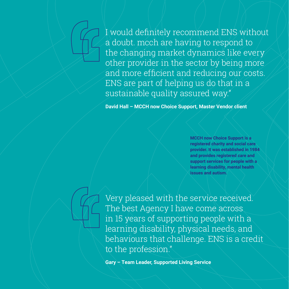I would definitely recommend ENS without a doubt. mcch are having to respond to the changing market dynamics like every other provider in the sector by being more and more efficient and reducing our costs. ENS are part of helping us do that in a sustainable quality assured way."

**David Hall – MCCH now Choice Support, Master Vendor client**

**MCCH now Choice Support is a registered charity and social care provider. It was established in 1984 and provides registered care and support services for people with a learning disability, mental health issues and autism.**

Very pleased with the service received. The best Agency I have come across in 15 years of supporting people with a learning disability, physical needs, and behaviours that challenge. ENS is a credit to the profession."

**Gary – Team Leader, Supported Living Service**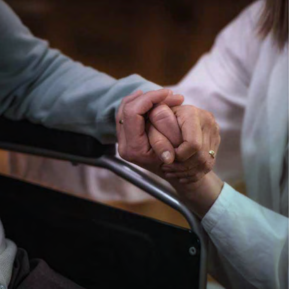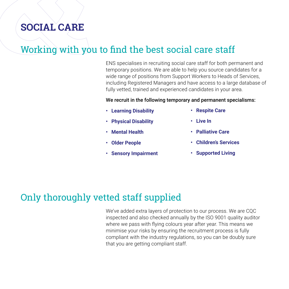# **SOCIAL CARE**

# Working with you to find the best social care staff

ENS specialises in recruiting social care staff for both permanent and temporary positions. We are able to help you source candidates for a wide range of positions from Support Workers to Heads of Services. including Registered Managers and have access to a large database of fully vetted, trained and experienced candidates in your area.

We recruit in the following temporary and permanent specialisms:

- **• Learning Disability**
- **• Physical Disability**
- **• Mental Health**
- **• Older People**
- **• Sensory Impairment**
- **• Respite Care**
- **• Live In**
- **• Palliative Care**
- **• Children's Services**
- **• Supported Living**

# Only thoroughly vetted staff supplied

We've added extra layers of protection to our process. We are CQC inspected and also checked annually by the ISO 9001 quality auditor where we pass with flying colours year after year. This means we minimise your risks by ensuring the recruitment process is fully compliant with the industry regulations, so you can be doubly sure that you are getting compliant staff.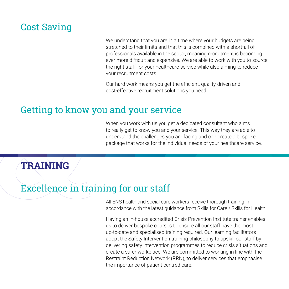#### Cost Saving

We understand that you are in a time where your budgets are being stretched to their limits and that this is combined with a shortfall of professionals available in the sector, meaning recruitment is becoming ever more difficult and expensive. We are able to work with you to source the right staff for your healthcare service while also aiming to reduce your recruitment costs.

Our hard work means you get the efficient, quality-driven and cost-effective recruitment solutions you need.

#### Getting to know you and your service

When you work with us you get a dedicated consultant who aims to really get to know you and your service. This way they are able to understand the challenges you are facing and can create a bespoke package that works for the individual needs of your healthcare service.

# **TRAINING**

# Excellence in training for our staff

All ENS health and social care workers receive thorough training in accordance with the latest guidance from Skills for Care / Skills for Health.

Having an in-house accredited Crisis Prevention Institute trainer enables us to deliver bespoke courses to ensure all our staff have the most up-to-date and specialised training required. Our learning facilitators adopt the Safety Intervention training philosophy to upskill our staff by delivering safety intervention programmes to reduce crisis situations and create a safer workplace. We are committed to working in line with the Restraint Reduction Network (RRN), to deliver services that emphasise the importance of patient centred care.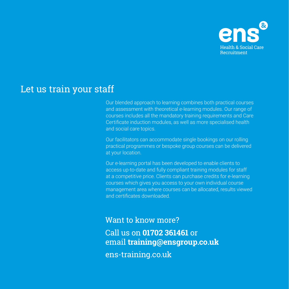

#### Let us train your staff

Our blended approach to learning combines both practical courses and assessment with theoretical e-learning modules. Our range of courses includes all the mandatory training requirements and Care Certificate induction modules, as well as more specialised health and social care topics.

Our facilitators can accommodate single bookings on our rolling practical programmes or bespoke group courses can be delivered at your location.

Our e-learning portal has been developed to enable clients to access up-to-date and fully compliant training modules for staff at a competitive price. Clients can purchase credits for e-learning courses which gives you access to your own individual course management area where courses can be allocated, results viewed and certificates downloaded.

#### Want to know more?

Call us on **01702 361461** or email **[training@ensgroup.co.uk](mailto:training%40ensgroup.co.uk?subject=)** [ens-training.co.uk](http://ens-training.co.uk)